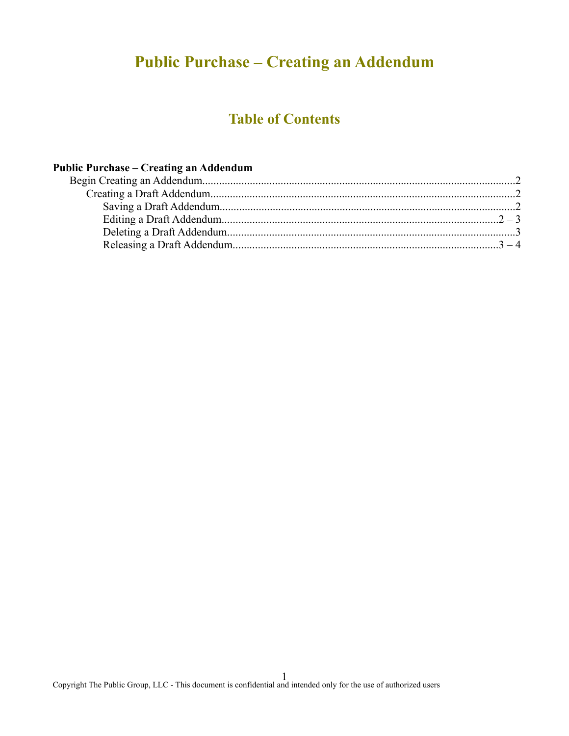# **Public Purchase – Creating an Addendum**

## **Table of Contents**

### **Public Purchase – Creating an Addendum**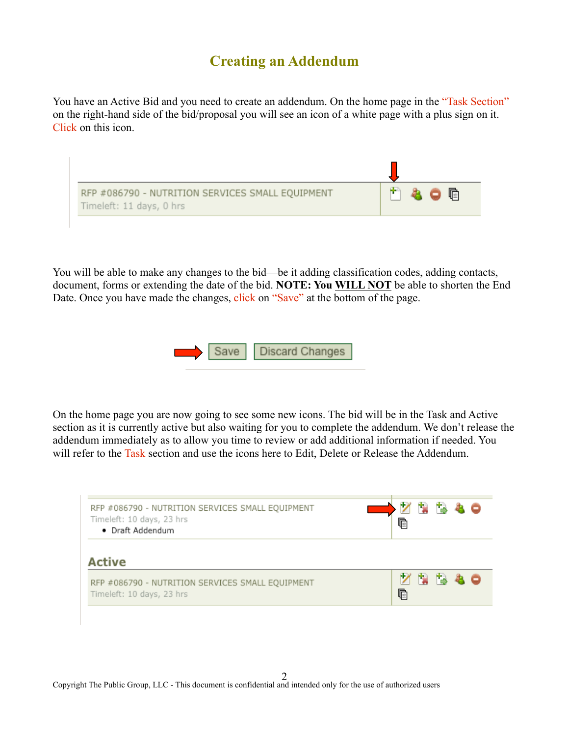### **Creating an Addendum**

You have an Active Bid and you need to create an addendum. On the home page in the "Task Section" on the right-hand side of the bid/proposal you will see an icon of a white page with a plus sign on it. Click on this icon.



You will be able to make any changes to the bid—be it adding classification codes, adding contacts, document, forms or extending the date of the bid. **NOTE: You WILL NOT** be able to shorten the End Date. Once you have made the changes, click on "Save" at the bottom of the page.



On the home page you are now going to see some new icons. The bid will be in the Task and Active section as it is currently active but also waiting for you to complete the addendum. We don't release the addendum immediately as to allow you time to review or add additional information if needed. You will refer to the Task section and use the icons here to Edit, Delete or Release the Addendum.

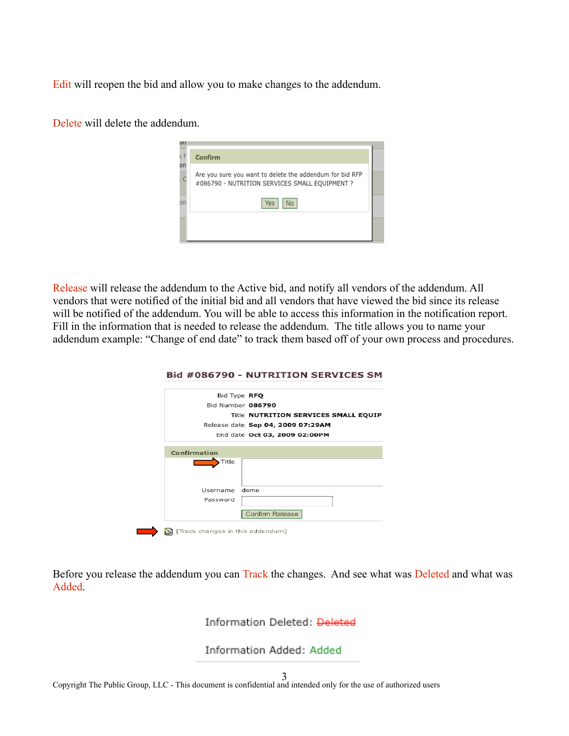Edit will reopen the bid and allow you to make changes to the addendum.

Delete will delete the addendum.

| UΠ |                                                          |  |
|----|----------------------------------------------------------|--|
| ςf | Confirm                                                  |  |
| on | Are you sure you want to delete the addendum for bid RFP |  |
|    | #086790 - NUTRITION SERVICES SMALL EQUIPMENT ?           |  |
| on | Yes                                                      |  |
|    |                                                          |  |
|    |                                                          |  |

Release will release the addendum to the Active bid, and notify all vendors of the addendum. All vendors that were notified of the initial bid and all vendors that have viewed the bid since its release will be notified of the addendum. You will be able to access this information in the notification report. Fill in the information that is needed to release the addendum. The title allows you to name your addendum example: "Change of end date" to track them based off of your own process and procedures.

|          | Bid Type RFQ                         |
|----------|--------------------------------------|
|          | Bid Number 086790                    |
|          | Title NUTRITION SERVICES SMALL EQUIP |
|          | Release date Sep 04, 2009 07:29AM    |
|          | End date Oct 03, 2009 02:00PM        |
|          |                                      |
| Username | demo                                 |
| Password |                                      |
|          | Confirm Release                      |

Before you release the addendum you can Track the changes. And see what was Deleted and what was Added.

#### Information Deleted: Deleted

Information Added: Added

Copyright The Public Group, LLC - This document is confidential and intended only for the use of authorized users 3